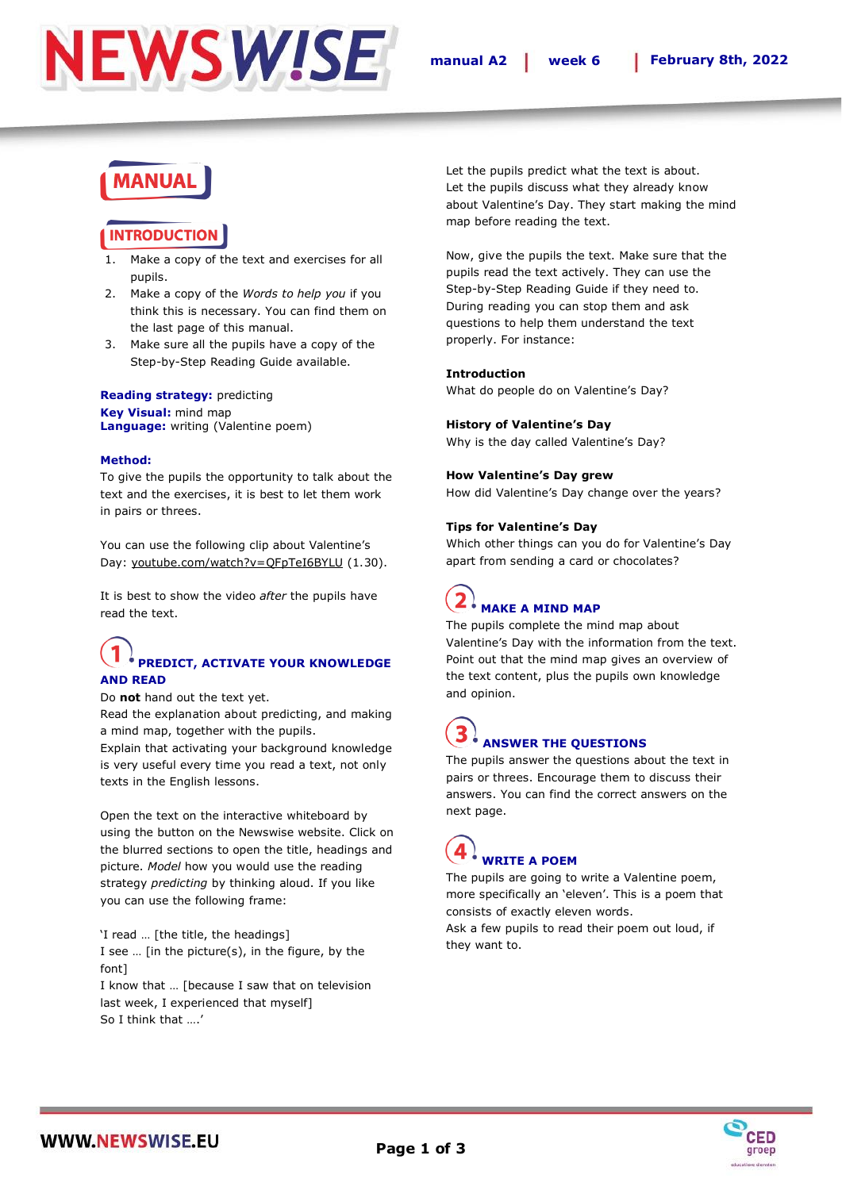

### **MANUAL**

### **INTRODUCTIOI**

- 1. Make a copy of the text and exercises for all pupils.
- 2. Make a copy of the *Words to help you* if you think this is necessary. You can find them on the last page of this manual.
- 3. Make sure all the pupils have a copy of the Step-by-Step Reading Guide available.

#### **Reading strategy:** predicting **Key Visual:** mind map **Language:** writing (Valentine poem)

#### **Method:**

To give the pupils the opportunity to talk about the text and the exercises, it is best to let them work in pairs or threes.

You can use the following clip about Valentine's Day: [youtube.com/watch?v=QFpTeI6BYLU](https://www.youtube.com/watch?v=QFpTeI6BYLU) (1.30).

It is best to show the video *after* the pupils have read the text.

### **PREDICT, ACTIVATE YOUR KNOWLEDGE AND READ**

Do **not** hand out the text yet.

Read the explanation about predicting, and making a mind map, together with the pupils.

Explain that activating your background knowledge is very useful every time you read a text, not only texts in the English lessons.

Open the text on the interactive whiteboard by using the button on the Newswise website. Click on the blurred sections to open the title, headings and picture. *Model* how you would use the reading strategy *predicting* by thinking aloud. If you like you can use the following frame:

'I read … [the title, the headings] I see … [in the picture(s), in the figure, by the font]

I know that … [because I saw that on television last week, I experienced that myself] So I think that ….'

Let the pupils predict what the text is about. Let the pupils discuss what they already know about Valentine's Day. They start making the mind map before reading the text.

Now, give the pupils the text. Make sure that the pupils read the text actively. They can use the Step-by-Step Reading Guide if they need to. During reading you can stop them and ask questions to help them understand the text properly. For instance:

#### **Introduction**

What do people do on Valentine's Day?

#### **History of Valentine's Day**

Why is the day called Valentine's Day?

#### **How Valentine's Day grew**

How did Valentine's Day change over the years?

#### **Tips for Valentine's Day**

Which other things can you do for Valentine's Day apart from sending a card or chocolates?

### **MAKE A MIND MAP**

The pupils complete the mind map about Valentine's Day with the information from the text. Point out that the mind map gives an overview of the text content, plus the pupils own knowledge and opinion.

# **ANSWER THE QUESTIONS**

The pupils answer the questions about the text in pairs or threes. Encourage them to discuss their answers. You can find the correct answers on the next page.

## **WRITE A POEM**

The pupils are going to write a Valentine poem, more specifically an 'eleven'. This is a poem that consists of exactly eleven words.

Ask a few pupils to read their poem out loud, if they want to.

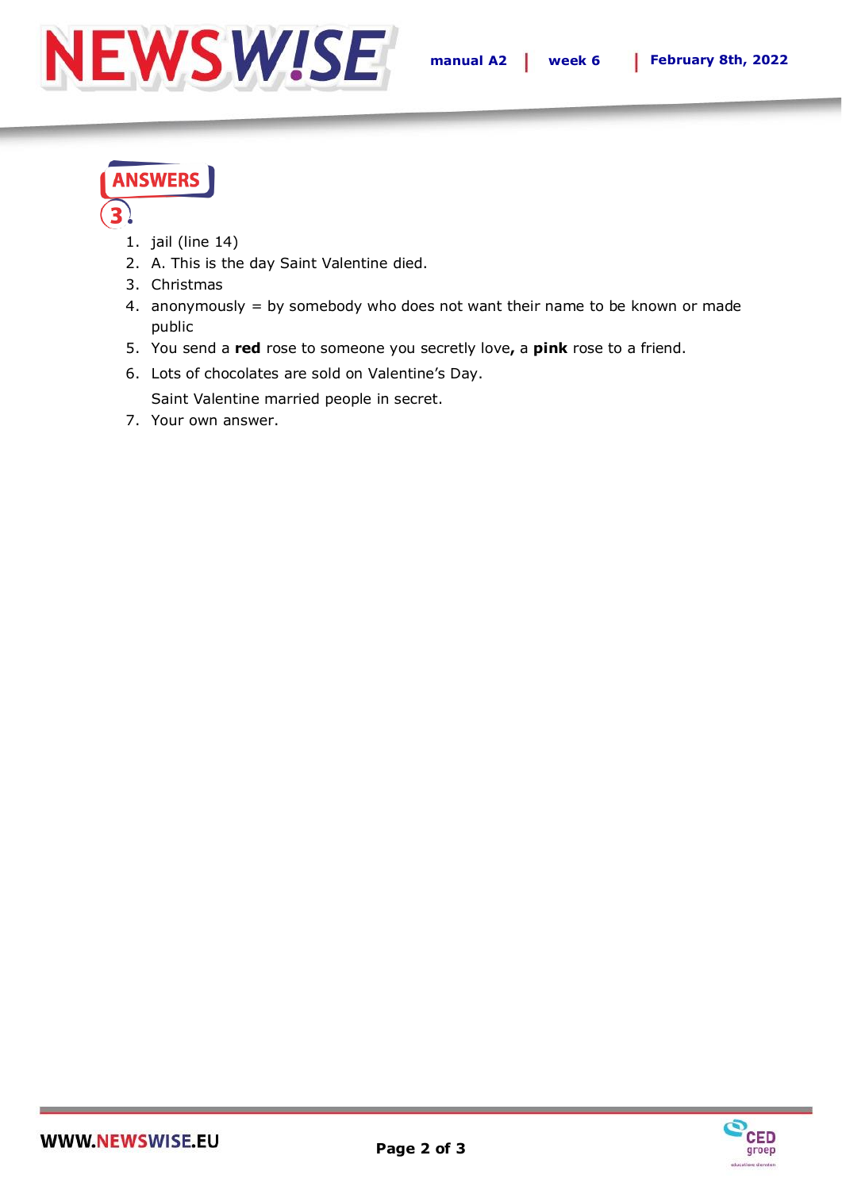

## **ANSWERS**

- 1. jail (line 14)
- 2. A. This is the day Saint Valentine died.
- 3. Christmas
- 4. anonymously = by somebody who does not want their name to be known or made public
- 5. You send a **red** rose to someone you secretly love**,** a **pink** rose to a friend.
- 6. Lots of chocolates are sold on Valentine's Day.

Saint Valentine married people in secret.

7. Your own answer.